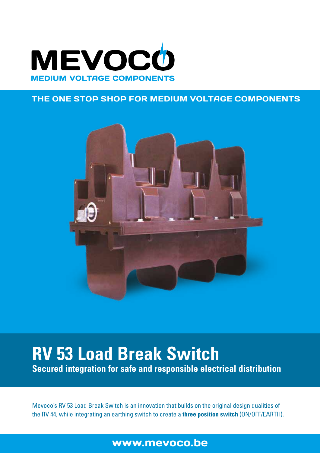

#### THE ONE STOP SHOP FOR MEDIUM VOLTAGE COMPONENTS



# **RV 53 Load Break Switch**

**Secured integration for safe and responsible electrical distribution**

Mevoco's RV 53 Load Break Switch is an innovation that builds on the original design qualities of the RV 44, while integrating an earthing switch to create a **three position switch** (ON/OFF/EARTH).

# www.mevoco.be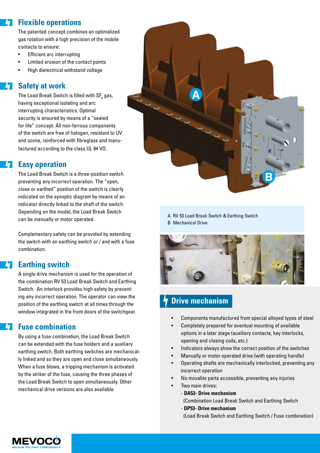# **Flexible operations**

The patented concept combines an optimalized gas rotation with a high precision of the mobile contacts to ensure:

- Efficient arc interrupting
- Limited erosion of the contact points
- High dielectrical withstand voltage

#### **Safety at work**

The Load Break Switch is filled with SF $_{\rm_6}$  gas, having exceptional isolating and arc interrupting characteristics. Optimal security is ensured by means of a "sealed for life" concept. All non-ferrous components of the switch are free of halogen, resistant to UV and ozone, reinforced with fibreglass and manufactured according to the class UL 94 VO.

#### **Easy operation**

The Load Break Switch is a three-position switch preventing any incorrect operation. The "open, close or earthed" position of the switch is clearly indicated on the synoptic diagram by means of an indicator directly linked to the shaft of the switch. Depending on the model, the Load Break Switch can be manually or motor operated.

Complementary safety can be provided by extending the switch with an earthing switch or / and with a fuse combination.

## **Earthing switch**

A single drive mechanism is used for the operation of the combination RV 53 Load Break Switch and Earthing Switch. An interlock provides high safety by preventing any incorrect operation. The operator can view the position of the earthing switch at all times through the window integrated in the front doors of the switchgear.

## **Fuse combination**

By using a fuse combination, the Load Break Switch can be extended with the fuse holders and a auxiliary earthing switch. Both earthing switches are mechanically linked and so they are open and close simultaneously. When a fuse blows, a tripping mechanism is activated by the striker of the fuse, causing the three phases of the Load Break Switch to open simultaneously. Other mechanical drive versions are also available



A RV 53 Load Break Switch & Earthing Switch B Mechanical Drive



# **Drive mechanism**

- Components manufactured from special alloyed types of steel
- Completely prepared for eventual mounting of available options in a later stage (auxiliary contacts, key interlocks, opening and closing coils, etc.)
- Indicators always show the correct position of the switches
- Manually or motor operated drive (with operating handle)
- Operating shafts are mechanically interlocked, preventing any incorrect operation
- No movable parts accessible, preventing any injuries
- Two main drives:
	- **DA53- Drive mechanism** 
		- (Combination Load Break Switch and Earthing Switch
	- **DP53- Drive mechanism**
	- (Load Break Switch and Earthing Switch / Fuse combination)

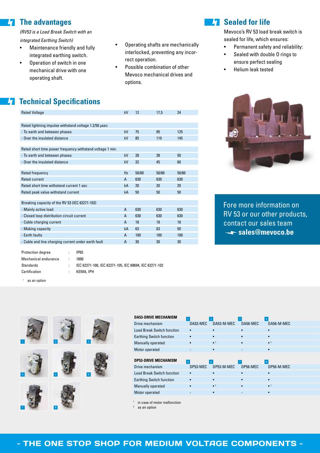#### **The advantages**  $\vert \bm{\mathsf{h}} \vert$

*(RV53 is a Load Break Switch with an* 

*integrated Earthing Switch)*

- Maintenance friendly and fully integrated earthing switch.
- Operation of switch in one mechanical drive with one operating shaft.
- Operating shafts are mechanically interlocked, preventing any incorrect operation.
- Possible combination of other Mevoco mechanical drives and options.

# **Z7** Sealed for life

Mevoco's RV 53 load break switch is sealed for life, which ensures:

- Permanent safety and reliability:
- Sealed with double O rings to ensure perfect sealing
- Helium leak tested



Fore more information on RV 53 or our other products, contact our sales team **sales@mevoco.be**

# **Z7 Technical Specifications**

| <b>Rated Voltage</b>                                      | kV | 12    | 17,5  | 24    |
|-----------------------------------------------------------|----|-------|-------|-------|
|                                                           |    |       |       |       |
| Rated lightning impulse withstand voltage 1.2/50 usec     |    |       |       |       |
| - To earth and between phases                             | kV | 75    | 95    | 125   |
| - Over the insulated distance                             | kV | 85    | 110   | 145   |
|                                                           |    |       |       |       |
| Rated short time power frequency withstand voltage 1 min. |    |       |       |       |
| - To earth and between phases                             | kV | 28    | 38    | 50    |
| - Over the insulated distance                             | kV | 32    | 45    | 60    |
|                                                           |    |       |       |       |
| Rated frequency                                           | Hz | 50/60 | 50/60 | 50/60 |
| Rated current                                             | A  | 630   | 630   | 630   |
| Rated short time withstand current 1 sec                  | kA | 20    | 20    | 20    |
| Rated peak value withstand current                        | kA | 50    | 50    | 50    |
|                                                           |    |       |       |       |
| Breaking capacity of the RV 53 (IEC 62271-102)            |    |       |       |       |
| - Mainly active load                                      | A  | 630   | 630   | 630   |
| - Closed loop distribution circuit current                | A  | 630   | 630   | 630   |
| - Cable charging current                                  | A  | 18    | 18    | 18    |
| - Making capacity                                         | kA | 63    | 63    | 50    |
| - Earth faults                                            | A  | 100   | 100   | 100   |
| - Cable and line charging current under earth fault       | A  | 30    | 30    | 30    |
|                                                           |    |       |       |       |

| Protection degree    | ٠  | IP65                                                   |
|----------------------|----|--------------------------------------------------------|
| Mechanical endurance | ٠. | 1000                                                   |
| Standards            |    | IEC 62271-100, IEC 62271-105, IEC 60694, IEC 62271-102 |
| Certification        |    | KEMA, IPH                                              |
|                      |    |                                                        |

<sup>1</sup> as an option



| <b>DA53-DRIVE MECHANISM</b>       |                |             |          |                        |  |
|-----------------------------------|----------------|-------------|----------|------------------------|--|
| Drive mechanism                   | DA53-MEC       | DA53-M-MEC  | DA56-MEC | DA56-M-MEC             |  |
| <b>Load Break Switch function</b> |                |             |          |                        |  |
| <b>Earthing Switch function</b>   |                |             |          |                        |  |
| Manually operated                 |                | $\bullet$ 1 |          | $\bullet$ 1            |  |
| Motor operated                    |                |             |          |                        |  |
| <b>DP53-DRIVE MECHANISM</b>       | $\overline{5}$ | -6          |          | 8                      |  |
| Drive mechanism                   | DP53-MEC       | DP53-M-MEC  | DP56-MEC | DP56-M-MEC             |  |
| <b>Load Break Switch function</b> |                |             |          |                        |  |
| <b>Earthing Switch function</b>   |                |             |          |                        |  |
| Manually operated                 |                |             |          | $\bullet$ <sup>1</sup> |  |
| Motor operated                    |                |             |          |                        |  |
|                                   |                |             |          |                        |  |

in case of motor malfunction as an option

#### - THE ONE STOP SHOP FOR MEDIUM VOLTAGE COMPONENTS -